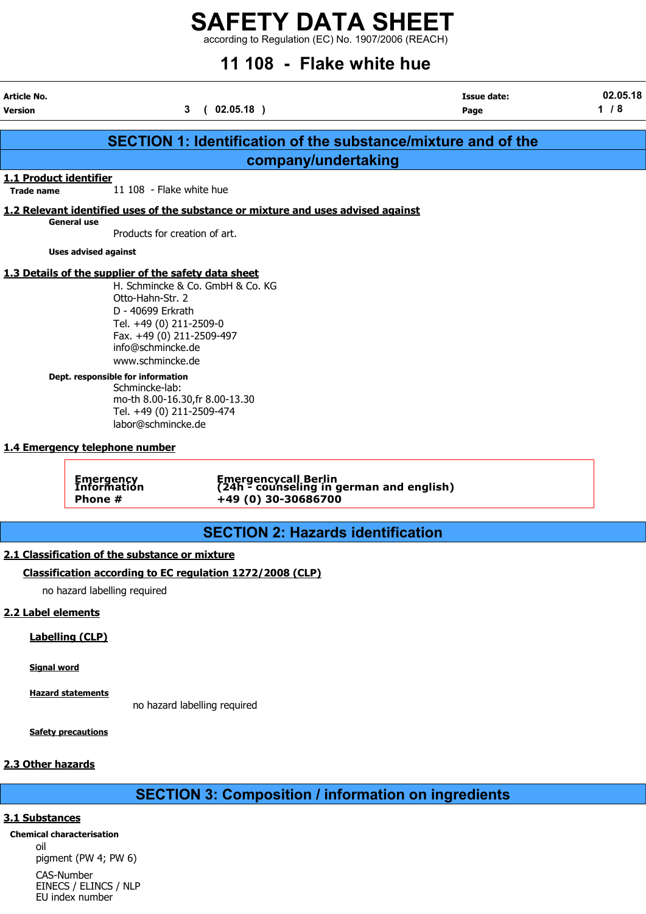according to Regulation (EC) No. 1907/2006 (REACH)

## 11 108 - Flake white hue

| <b>Article No.</b><br><b>Version</b>        |                                                                                                                                                                                                                                                                                                                                            | 3(02.05.18)                                                                             | <b>Issue date:</b><br>Page                                           | 02.05.18<br>$1/8$ |
|---------------------------------------------|--------------------------------------------------------------------------------------------------------------------------------------------------------------------------------------------------------------------------------------------------------------------------------------------------------------------------------------------|-----------------------------------------------------------------------------------------|----------------------------------------------------------------------|-------------------|
|                                             |                                                                                                                                                                                                                                                                                                                                            |                                                                                         |                                                                      |                   |
|                                             |                                                                                                                                                                                                                                                                                                                                            |                                                                                         | <b>SECTION 1: Identification of the substance/mixture and of the</b> |                   |
|                                             |                                                                                                                                                                                                                                                                                                                                            | company/undertaking                                                                     |                                                                      |                   |
| 1.1 Product identifier<br><b>Trade name</b> | 11 108 - Flake white hue                                                                                                                                                                                                                                                                                                                   |                                                                                         |                                                                      |                   |
|                                             |                                                                                                                                                                                                                                                                                                                                            | 1.2 Relevant identified uses of the substance or mixture and uses advised against       |                                                                      |                   |
|                                             | <b>General use</b><br>Products for creation of art.                                                                                                                                                                                                                                                                                        |                                                                                         |                                                                      |                   |
|                                             | <b>Uses advised against</b>                                                                                                                                                                                                                                                                                                                |                                                                                         |                                                                      |                   |
|                                             | 1.3 Details of the supplier of the safety data sheet<br>Otto-Hahn-Str. 2<br>D - 40699 Erkrath<br>Tel. +49 (0) 211-2509-0<br>Fax. +49 (0) 211-2509-497<br>info@schmincke.de<br>www.schmincke.de<br>Dept. responsible for information<br>Schmincke-lab:<br>Tel. +49 (0) 211-2509-474<br>labor@schmincke.de<br>1.4 Emergency telephone number | H. Schmincke & Co. GmbH & Co. KG<br>mo-th 8.00-16.30, fr 8.00-13.30                     |                                                                      |                   |
|                                             | Emergency<br>Information<br>Phone #                                                                                                                                                                                                                                                                                                        | Emergencycall Berlin<br>(24h - counseling in german and english)<br>+49 (0) 30-30686700 |                                                                      |                   |
|                                             |                                                                                                                                                                                                                                                                                                                                            | <b>SECTION 2: Hazards identification</b>                                                |                                                                      |                   |
|                                             | 2.1 Classification of the substance or mixture                                                                                                                                                                                                                                                                                             |                                                                                         |                                                                      |                   |
|                                             |                                                                                                                                                                                                                                                                                                                                            | Classification according to EC regulation 1272/2008 (CLP)                               |                                                                      |                   |
|                                             | no hazard labelling required                                                                                                                                                                                                                                                                                                               |                                                                                         |                                                                      |                   |
| 2.2 Label elements                          |                                                                                                                                                                                                                                                                                                                                            |                                                                                         |                                                                      |                   |
|                                             | <b>Labelling (CLP)</b>                                                                                                                                                                                                                                                                                                                     |                                                                                         |                                                                      |                   |
| <b>Signal word</b>                          |                                                                                                                                                                                                                                                                                                                                            |                                                                                         |                                                                      |                   |

Hazard statements

no hazard labelling required

Safety precautions

### 2.3 Other hazards

SECTION 3: Composition / information on ingredients

#### 3.1 Substances

Chemical characterisation oil pigment (PW 4; PW 6) CAS-Number EINECS / ELINCS / NLP

EU index number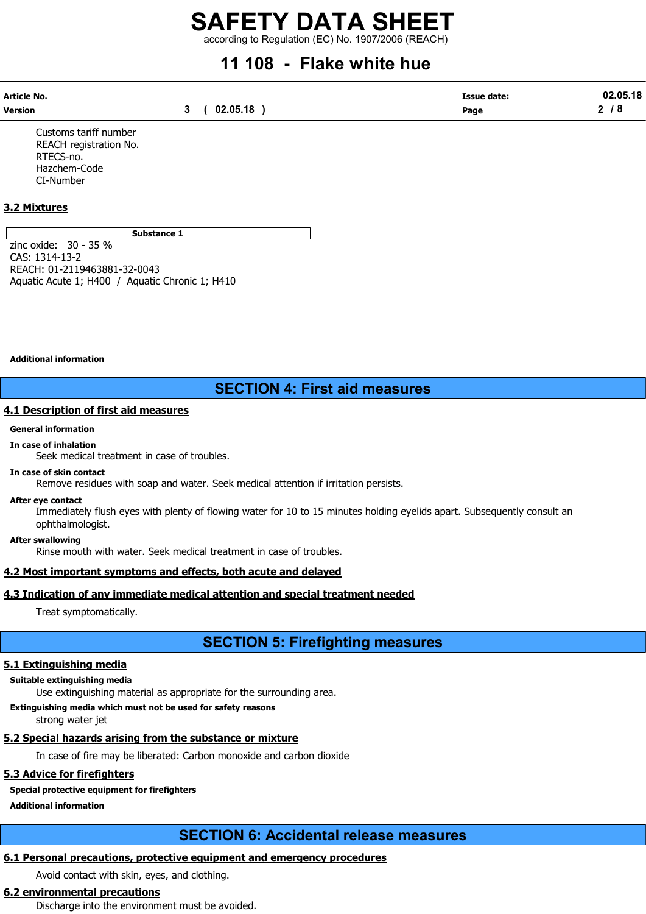according to Regulation (EC) No. 1907/2006 (REACH)

## 11 108 - Flake white hue

| Article No. |             | <b>Issue date:</b> | 02.05.18  |
|-------------|-------------|--------------------|-----------|
| Version     | 3(02.05.18) | Page               | <b>78</b> |

Customs tariff number REACH registration No. RTECS-no. Hazchem-Code CI-Number

#### 3.2 Mixtures

Substance 1

zinc oxide: 30 - 35 % CAS: 1314-13-2 REACH: 01-2119463881-32-0043 Aquatic Acute 1; H400 / Aquatic Chronic 1; H410

Additional information

## SECTION 4: First aid measures

#### 4.1 Description of first aid measures

#### General information

#### In case of inhalation

Seek medical treatment in case of troubles.

#### In case of skin contact

Remove residues with soap and water. Seek medical attention if irritation persists.

#### After eye contact

Immediately flush eyes with plenty of flowing water for 10 to 15 minutes holding eyelids apart. Subsequently consult an ophthalmologist.

After swallowing

Rinse mouth with water. Seek medical treatment in case of troubles.

#### 4.2 Most important symptoms and effects, both acute and delayed

#### 4.3 Indication of any immediate medical attention and special treatment needed

Treat symptomatically.

## SECTION 5: Firefighting measures

#### 5.1 Extinguishing media

Suitable extinguishing media

Use extinguishing material as appropriate for the surrounding area.

Extinguishing media which must not be used for safety reasons

strong water jet

### 5.2 Special hazards arising from the substance or mixture

In case of fire may be liberated: Carbon monoxide and carbon dioxide

### 5.3 Advice for firefighters

## Special protective equipment for firefighters

Additional information

## SECTION 6: Accidental release measures

### 6.1 Personal precautions, protective equipment and emergency procedures

Avoid contact with skin, eyes, and clothing.

## 6.2 environmental precautions

Discharge into the environment must be avoided.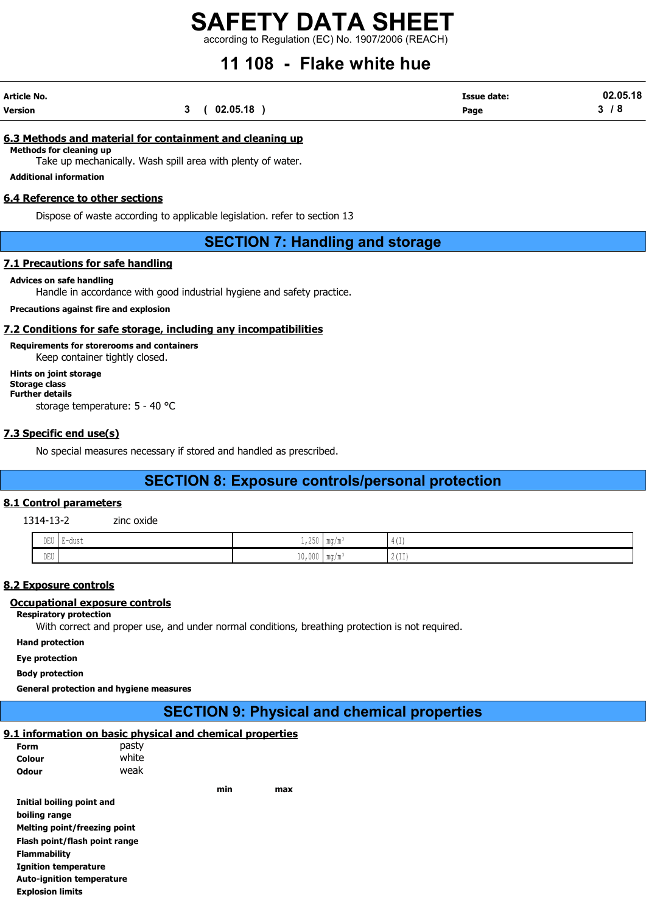according to Regulation (EC) No. 1907/2006 (REACH)

## 11 108 - Flake white hue

| Article No. |             | <b>Issue date:</b> | 02.05.18   |
|-------------|-------------|--------------------|------------|
| Version     | 3(02.05.18) | Page               | <i>1</i> 8 |

#### 6.3 Methods and material for containment and cleaning up

Methods for cleaning up

Take up mechanically. Wash spill area with plenty of water.

Additional information

#### 6.4 Reference to other sections

Dispose of waste according to applicable legislation. refer to section 13

### SECTION 7: Handling and storage

#### 7.1 Precautions for safe handling

#### Advices on safe handling

Handle in accordance with good industrial hygiene and safety practice.

Precautions against fire and explosion

#### 7.2 Conditions for safe storage, including any incompatibilities

Requirements for storerooms and containers Keep container tightly closed.

Hints on joint storage Storage class Further details storage temperature: 5 - 40 °C

#### 7.3 Specific end use(s)

No special measures necessary if stored and handled as prescribed.

## SECTION 8: Exposure controls/personal protection

#### 8.1 Control parameters

1314-13-2 zinc oxide

| $\mathop{\rm DEU}\nolimits$ | H-01191<br>uust<br>- 11<br>. | $- - -$<br>. אנ<br>$+1$ 499              | $\mathbf{m}$<br>$\mathbf{I}$ 1114/111          | $1 +$<br>.                                    |
|-----------------------------|------------------------------|------------------------------------------|------------------------------------------------|-----------------------------------------------|
| DEU<br>$\sim$               |                              | $\sim$ $\sim$<br>m<br>LUIUUU 1<br>$\sim$ | $m \sim$<br>$\mathbf{I}$ illy $\mathbf{I}$ ill | 0.1771<br>$\sim$ $\sim$ $+$ $+$ $\sim$ $\sim$ |

#### 8.2 Exposure controls

#### Occupational exposure controls

#### Respiratory protection

With correct and proper use, and under normal conditions, breathing protection is not required.

Hand protection

Eye protection

Body protection

General protection and hygiene measures

## SECTION 9: Physical and chemical properties

### 9.1 information on basic physical and chemical properties

| Form                             | pasty |     |     |
|----------------------------------|-------|-----|-----|
| Colour                           | white |     |     |
| Odour                            | weak  |     |     |
|                                  |       | min | max |
| Initial boiling point and        |       |     |     |
| boiling range                    |       |     |     |
| Melting point/freezing point     |       |     |     |
| Flash point/flash point range    |       |     |     |
| <b>Flammability</b>              |       |     |     |
| <b>Ignition temperature</b>      |       |     |     |
| <b>Auto-ignition temperature</b> |       |     |     |
| <b>Explosion limits</b>          |       |     |     |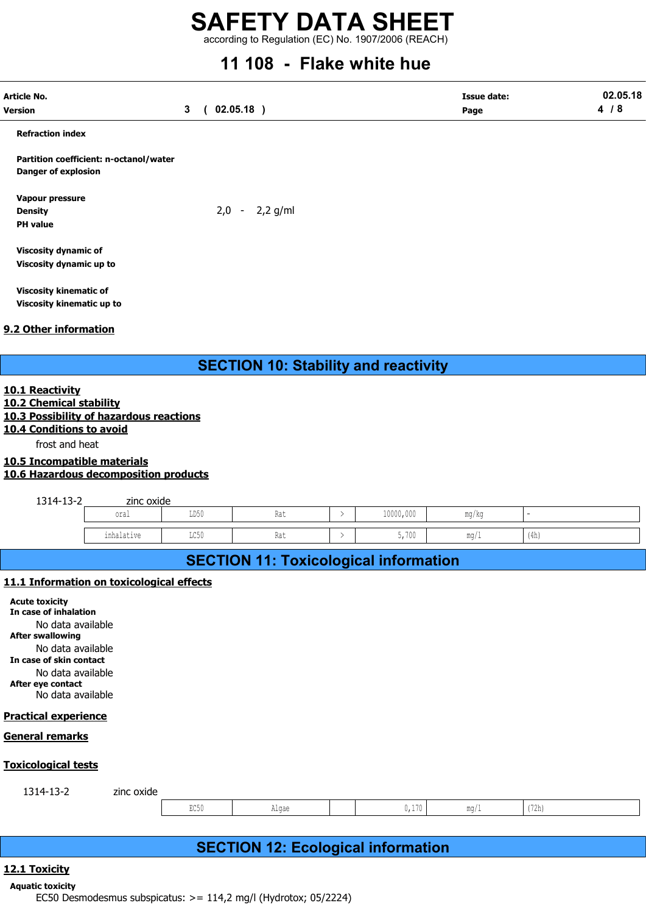according to Regulation (EC) No. 1907/2006 (REACH)

## 11 108 - Flake white hue

|                                                                                                                                                                                                                                                            |                              |                  | ww            | ,,,,,,,                                      |                            |       |                 |
|------------------------------------------------------------------------------------------------------------------------------------------------------------------------------------------------------------------------------------------------------------|------------------------------|------------------|---------------|----------------------------------------------|----------------------------|-------|-----------------|
| <b>Article No.</b><br><b>Version</b>                                                                                                                                                                                                                       | $02.05.18$ )<br>$\mathbf{3}$ |                  |               |                                              | <b>Issue date:</b><br>Page |       | 02.05.18<br>4/8 |
| <b>Refraction index</b>                                                                                                                                                                                                                                    |                              |                  |               |                                              |                            |       |                 |
| Partition coefficient: n-octanol/water<br><b>Danger of explosion</b>                                                                                                                                                                                       |                              |                  |               |                                              |                            |       |                 |
| Vapour pressure<br><b>Density</b><br><b>PH</b> value                                                                                                                                                                                                       |                              | $2,0 - 2,2$ g/ml |               |                                              |                            |       |                 |
| Viscosity dynamic of<br>Viscosity dynamic up to                                                                                                                                                                                                            |                              |                  |               |                                              |                            |       |                 |
| <b>Viscosity kinematic of</b><br>Viscosity kinematic up to                                                                                                                                                                                                 |                              |                  |               |                                              |                            |       |                 |
| 9.2 Other information                                                                                                                                                                                                                                      |                              |                  |               |                                              |                            |       |                 |
|                                                                                                                                                                                                                                                            |                              |                  |               | <b>SECTION 10: Stability and reactivity</b>  |                            |       |                 |
| 10.1 Reactivity<br>10.2 Chemical stability<br>10.3 Possibility of hazardous reactions<br>10.4 Conditions to avoid<br>frost and heat<br>10.5 Incompatible materials<br>10.6 Hazardous decomposition products                                                |                              |                  |               |                                              |                            |       |                 |
| 1314-13-2                                                                                                                                                                                                                                                  | zinc oxide                   |                  |               |                                              |                            |       |                 |
| oral                                                                                                                                                                                                                                                       | LD50                         | Rat              | $\rightarrow$ | 10000,000                                    | mg/kg                      |       |                 |
| inhalative                                                                                                                                                                                                                                                 | LC50                         | Rat              | $\rightarrow$ | 5,700                                        | mg/1                       | (4h)  |                 |
|                                                                                                                                                                                                                                                            |                              |                  |               | <b>SECTION 11: Toxicological information</b> |                            |       |                 |
| 11.1 Information on toxicological effects<br><b>Acute toxicity</b><br>In case of inhalation<br>No data available<br><b>After swallowing</b><br>No data available<br>In case of skin contact<br>No data available<br>After eye contact<br>No data available |                              |                  |               |                                              |                            |       |                 |
| <b>Practical experience</b>                                                                                                                                                                                                                                |                              |                  |               |                                              |                            |       |                 |
| General remarks                                                                                                                                                                                                                                            |                              |                  |               |                                              |                            |       |                 |
| <b>Toxicological tests</b>                                                                                                                                                                                                                                 |                              |                  |               |                                              |                            |       |                 |
| 1314-13-2<br>zinc oxide                                                                                                                                                                                                                                    |                              |                  |               |                                              |                            |       |                 |
|                                                                                                                                                                                                                                                            | EC50                         | Algae            |               | 0,170                                        | mg/1                       | (72h) |                 |
|                                                                                                                                                                                                                                                            |                              |                  |               | <b>SECTION 12: Ecological information</b>    |                            |       |                 |
| 12.1 Toxicity                                                                                                                                                                                                                                              |                              |                  |               |                                              |                            |       |                 |
| <b>Aquatic toxicity</b><br>EC50 Desmodesmus subspicatus: >= 114,2 mg/l (Hydrotox; 05/2224)                                                                                                                                                                 |                              |                  |               |                                              |                            |       |                 |

#### Practical experience

#### General remarks

#### Toxicological tests

| 121<br>14-<br>--<br>.<br>--<br>$\sim$ | zinc oxide |                   |       |                |                        |      |  |
|---------------------------------------|------------|-------------------|-------|----------------|------------------------|------|--|
|                                       |            | T250<br>コレコロ<br>. | Alqae | 170<br>J 1 1 U | MA OH<br>$\frac{1}{2}$ | 172h |  |

## SECTION 12: Ecological information

#### 12.1 Toxicity

#### Aquatic toxicity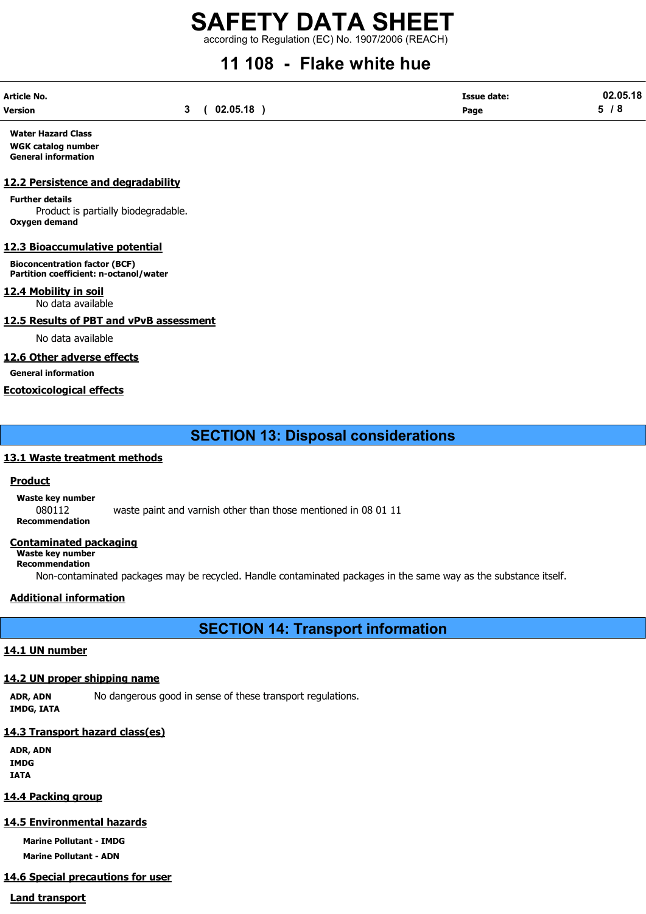according to Regulation (EC) No. 1907/2006 (REACH)

## 11 108 - Flake white hue

| Article No. |             | <b>Issue date:</b> | 02.05.18 |
|-------------|-------------|--------------------|----------|
| Version     | 3(02.05.18) | Page               | 5/8      |

Water Hazard Class WGK catalog number General information

#### 12.2 Persistence and degradability

Further details Product is partially biodegradable. Oxygen demand

#### 12.3 Bioaccumulative potential

Bioconcentration factor (BCF) Partition coefficient: n-octanol/water

#### 12.4 Mobility in soil

No data available

12.5 Results of PBT and vPvB assessment

No data available

#### 12.6 Other adverse effects

General information

#### Ecotoxicological effects

SECTION 13: Disposal considerations

#### 13.1 Waste treatment methods

#### **Product**

Waste key number

080112 waste paint and varnish other than those mentioned in 08 01 11

Recommendation

#### Contaminated packaging

Waste key number Recommendation

Non-contaminated packages may be recycled. Handle contaminated packages in the same way as the substance itself.

#### Additional information

SECTION 14: Transport information

#### 14.1 UN number

### 14.2 UN proper shipping name

ADR, ADN No dangerous good in sense of these transport regulations. IMDG, IATA

#### 14.3 Transport hazard class(es)

ADR, ADN IMDG IATA

### 14.4 Packing group

## 14.5 Environmental hazards

Marine Pollutant - IMDG Marine Pollutant - ADN

## 14.6 Special precautions for user

Land transport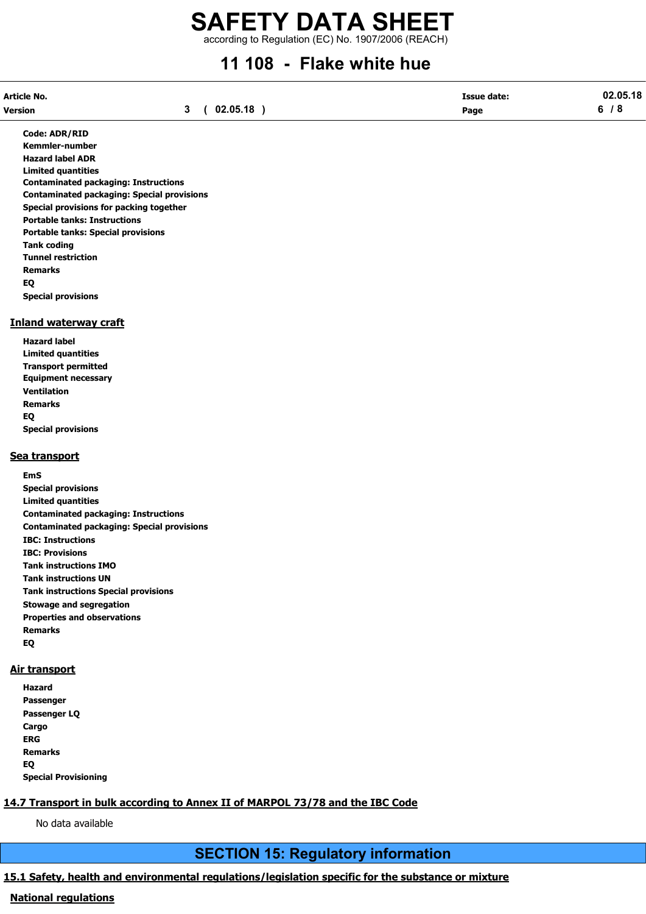according to Regulation (EC) No. 1907/2006 (REACH)

## 11 108 - Flake white hue

| Article No. |             | <b>Issue date:</b> | 02.05.18 |
|-------------|-------------|--------------------|----------|
| Version     | 3(02.05.18) | Page               | 6/8      |

Code: ADR/RID Kemmler-number Hazard label ADR Limited quantities Contaminated packaging: Instructions Contaminated packaging: Special provisions Special provisions for packing together Portable tanks: Instructions Portable tanks: Special provisions Tank coding Tunnel restriction Remarks EQ Special provisions

#### Inland waterway craft

Hazard label Limited quantities Transport permitted Equipment necessary Ventilation Remarks EQ Special provisions

#### Sea transport

EmS Special provisions Limited quantities Contaminated packaging: Instructions Contaminated packaging: Special provisions IBC: Instructions IBC: Provisions Tank instructions IMO Tank instructions UN Tank instructions Special provisions Stowage and segregation Properties and observations Remarks EQ

#### Air transport

Hazard Passenger Passenger LQ **Cargo** ERG Remarks EQ Special Provisioning

#### 14.7 Transport in bulk according to Annex II of MARPOL 73/78 and the IBC Code

No data available

## SECTION 15: Regulatory information

### 15.1 Safety, health and environmental regulations/legislation specific for the substance or mixture

#### National regulations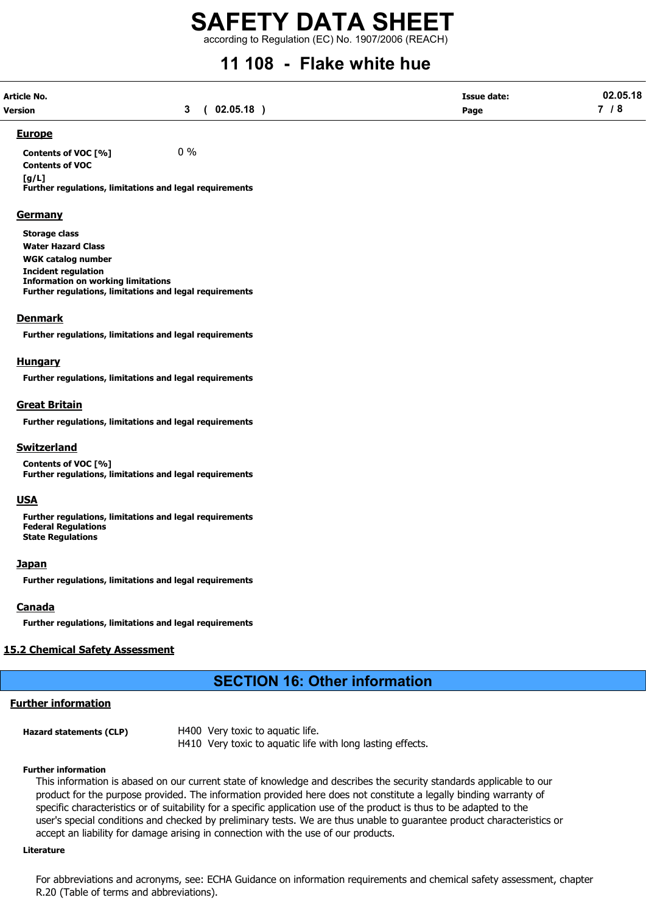according to Regulation (EC) No. 1907/2006 (REACH)

## 11 108 - Flake white hue

| Article No.    |             | <b>Issue date:</b> | 02.05.18 |
|----------------|-------------|--------------------|----------|
| <b>Version</b> | 3(02.05.18) | Page               | 7 / 8    |

#### Europe

Contents of VOC  $[%]$  0 % Contents of VOC

 $[a/L]$ 

Further regulations, limitations and legal requirements

#### **Germany**

Storage class Water Hazard Class WGK catalog number Incident regulation Information on working limitations Further regulations, limitations and legal requirements

#### Denmark

Further regulations, limitations and legal requirements

#### **Hungary**

Further regulations, limitations and legal requirements

#### Great Britain

Further regulations, limitations and legal requirements

#### Switzerland

Contents of VOC [%] Further regulations, limitations and legal requirements

#### USA

Further regulations, limitations and legal requirements Federal Regulations State Regulations

#### **Japan**

Further regulations, limitations and legal requirements

#### Canada

Further regulations, limitations and legal requirements

#### 15.2 Chemical Safety Assessment

## SECTION 16: Other information

#### Further information

Hazard statements (CLP) H400 Very toxic to aquatic life. H410 Very toxic to aquatic life with long lasting effects.

#### Further information

This information is abased on our current state of knowledge and describes the security standards applicable to our product for the purpose provided. The information provided here does not constitute a legally binding warranty of specific characteristics or of suitability for a specific application use of the product is thus to be adapted to the user's special conditions and checked by preliminary tests. We are thus unable to guarantee product characteristics or accept an liability for damage arising in connection with the use of our products.

#### Literature

For abbreviations and acronyms, see: ECHA Guidance on information requirements and chemical safety assessment, chapter R.20 (Table of terms and abbreviations).